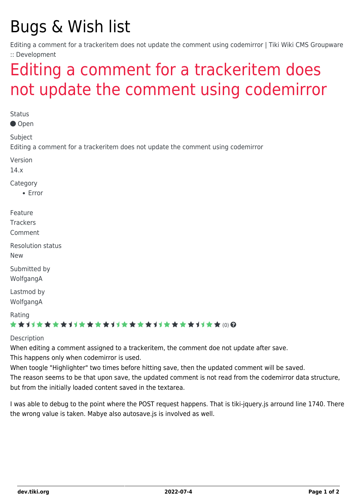## Bugs & Wish list

Editing a comment for a trackeritem does not update the comment using codemirror | Tiki Wiki CMS Groupware :: Development

## [Editing a comment for a trackeritem does](https://dev.tiki.org/item5550-Editing-a-comment-for-a-trackeritem-does-not-update-the-comment-using-codemirror) [not update the comment using codemirror](https://dev.tiki.org/item5550-Editing-a-comment-for-a-trackeritem-does-not-update-the-comment-using-codemirror)

**Status** Open Subject Editing a comment for a trackeritem does not update the comment using codemirror Version 14.x Category Error Feature **Trackers** Comment Resolution status New Submitted by WolfgangA Lastmod by WolfgangA Rating ★★11★★★★11★★★★11★★★★11★★★★+1+★★ (0) @ Description

When editing a comment assigned to a trackeritem, the comment doe not update after save. This happens only when codemirror is used.

When toogle "Highlighter" two times before hitting save, then the updated comment will be saved. The reason seems to be that upon save, the updated comment is not read from the codemirror data structure, but from the initially loaded content saved in the textarea.

I was able to debug to the point where the POST request happens. That is tiki-jquery.js arround line 1740. There the wrong value is taken. Mabye also autosave.js is involved as well.